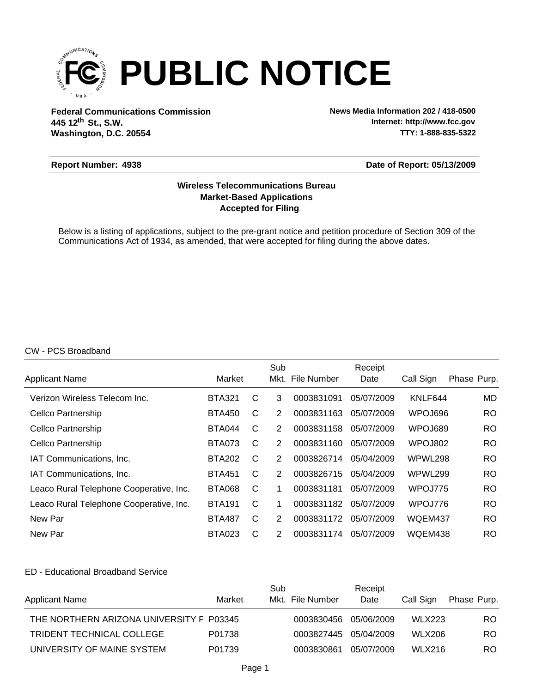

**Federal Communications Commission News Media Information 202 / 418-0500 Washington, D.C. 20554 th 445 12 St., S.W.**

**Internet: http://www.fcc.gov TTY: 1-888-835-5322**

### **Report Number: 4938**

**Date of Report: 05/13/2009**

# **Accepted for Filing Market-Based Applications Wireless Telecommunications Bureau**

Below is a listing of applications, subject to the pre-grant notice and petition procedure of Section 309 of the Communications Act of 1934, as amended, that were accepted for filing during the above dates.

### CW - PCS Broadband

|                                         |               |   | Sub            |                  | Receipt    |           |             |
|-----------------------------------------|---------------|---|----------------|------------------|------------|-----------|-------------|
| <b>Applicant Name</b>                   | Market        |   |                | Mkt. File Number | Date       | Call Sign | Phase Purp. |
| Verizon Wireless Telecom Inc.           | <b>BTA321</b> | C | 3              | 0003831091       | 05/07/2009 | KNLF644   | MD.         |
| Cellco Partnership                      | <b>BTA450</b> | C | $\overline{2}$ | 0003831163       | 05/07/2009 | WPOJ696   | RO.         |
| Cellco Partnership                      | <b>BTA044</b> | C | 2              | 0003831158       | 05/07/2009 | WPOJ689   | RO.         |
| Cellco Partnership                      | <b>BTA073</b> | C | 2              | 0003831160       | 05/07/2009 | WPOJ802   | RO.         |
| IAT Communications, Inc.                | <b>BTA202</b> | C | 2              | 0003826714       | 05/04/2009 | WPWL298   | RO.         |
| IAT Communications, Inc.                | <b>BTA451</b> | С | 2              | 0003826715       | 05/04/2009 | WPWL299   | RO.         |
| Leaco Rural Telephone Cooperative, Inc. | <b>BTA068</b> | C | 1              | 0003831181       | 05/07/2009 | WPOJ775   | RO.         |
| Leaco Rural Telephone Cooperative, Inc. | <b>BTA191</b> | С | 1              | 0003831182       | 05/07/2009 | WPOJ776   | RO.         |
| New Par                                 | <b>BTA487</b> | C | 2              | 0003831172       | 05/07/2009 | WQEM437   | RO.         |
| New Par                                 | <b>BTA023</b> | С | 2              | 0003831174       | 05/07/2009 | WQEM438   | RO.         |

## ED - Educational Broadband Service

| <b>Applicant Name</b>                    | Market | Sub<br>Mkt. File Number | Receipt<br>Date | Call Sign     | Phase Purp. |
|------------------------------------------|--------|-------------------------|-----------------|---------------|-------------|
| THE NORTHERN ARIZONA UNIVERSITY F P03345 |        | 0003830456              | 05/06/2009      | <b>WLX223</b> | RO.         |
| TRIDENT TECHNICAL COLLEGE                | P01738 | 0003827445 05/04/2009   |                 | <b>WLX206</b> | RO.         |
| UNIVERSITY OF MAINE SYSTEM               | P01739 | 0003830861              | 05/07/2009      | <b>WLX216</b> | RO.         |